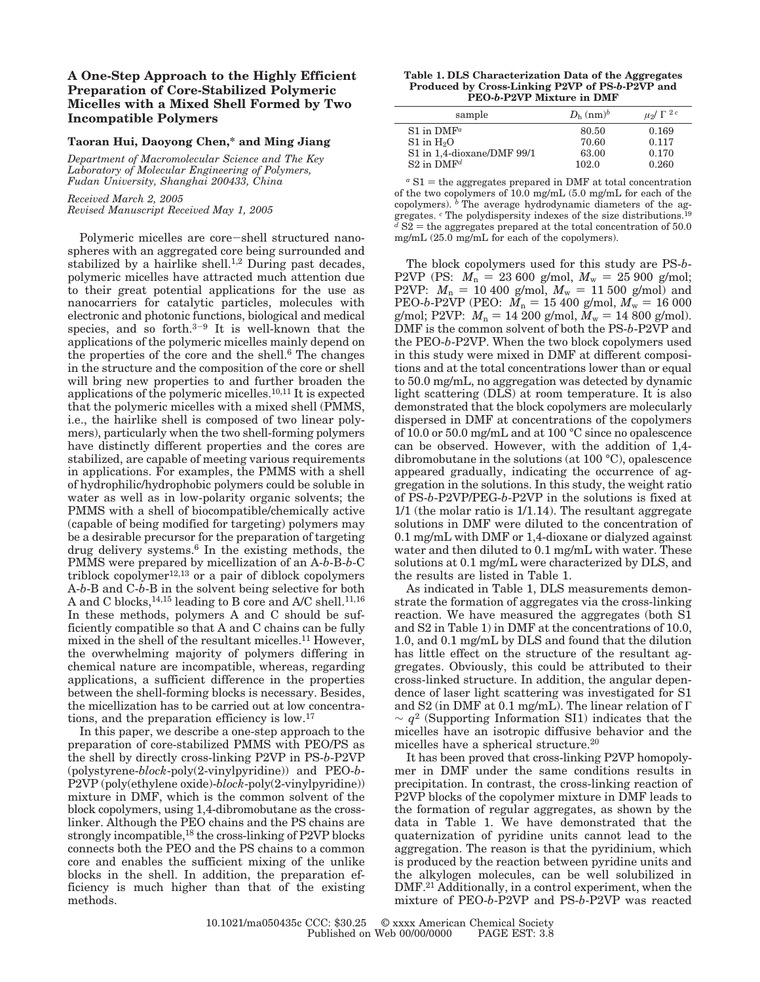# **A One-Step Approach to the Highly Efficient Preparation of Core-Stabilized Polymeric Micelles with a Mixed Shell Formed by Two Incompatible Polymers**

## **Taoran Hui, Daoyong Chen,\* and Ming Jiang**

*Department of Macromolecular Science and The Key Laboratory of Molecular Engineering of Polymers, Fudan University, Shanghai 200433, China*

*Received March 2, 2005 Revised Manuscript Received May 1, 2005*

Polymeric micelles are core-shell structured nanospheres with an aggregated core being surrounded and stabilized by a hairlike shell.<sup>1,2</sup> During past decades, polymeric micelles have attracted much attention due to their great potential applications for the use as nanocarriers for catalytic particles, molecules with electronic and photonic functions, biological and medical species, and so forth. $3-9$  It is well-known that the applications of the polymeric micelles mainly depend on the properties of the core and the shell.6 The changes in the structure and the composition of the core or shell will bring new properties to and further broaden the applications of the polymeric micelles.10,11 It is expected that the polymeric micelles with a mixed shell (PMMS, i.e., the hairlike shell is composed of two linear polymers), particularly when the two shell-forming polymers have distinctly different properties and the cores are stabilized, are capable of meeting various requirements in applications. For examples, the PMMS with a shell of hydrophilic/hydrophobic polymers could be soluble in water as well as in low-polarity organic solvents; the PMMS with a shell of biocompatible/chemically active (capable of being modified for targeting) polymers may be a desirable precursor for the preparation of targeting drug delivery systems.6 In the existing methods, the PMMS were prepared by micellization of an A-*b*-B-*b*-C triblock copolymer $12,13$  or a pair of diblock copolymers A-*b*-B and C-*b*-B in the solvent being selective for both A and C blocks,  $^{14,15}$  leading to B core and A/C shell.<sup>11,16</sup> In these methods, polymers A and C should be sufficiently compatible so that A and C chains can be fully mixed in the shell of the resultant micelles.11 However, the overwhelming majority of polymers differing in chemical nature are incompatible, whereas, regarding applications, a sufficient difference in the properties between the shell-forming blocks is necessary. Besides, the micellization has to be carried out at low concentrations, and the preparation efficiency is low.17

In this paper, we describe a one-step approach to the preparation of core-stabilized PMMS with PEO/PS as the shell by directly cross-linking P2VP in PS-*b*-P2VP (polystyrene-*block*-poly(2-vinylpyridine)) and PEO-*b*-P2VP (poly(ethylene oxide)-*block*-poly(2-vinylpyridine)) mixture in DMF, which is the common solvent of the block copolymers, using 1,4-dibromobutane as the crosslinker. Although the PEO chains and the PS chains are strongly incompatible,<sup>18</sup> the cross-linking of P2VP blocks connects both the PEO and the PS chains to a common core and enables the sufficient mixing of the unlike blocks in the shell. In addition, the preparation efficiency is much higher than that of the existing methods.

#### **Table 1. DLS Characterization Data of the Aggregates Produced by Cross-Linking P2VP of PS-***b***-P2VP and PEO-***b***-P2VP Mixture in DMF**

| sample                     | $D_{\rm h}$ (nm) <sup>b</sup> | $\mu_2/\langle \Gamma \rangle^{2c}$ |
|----------------------------|-------------------------------|-------------------------------------|
| $S1$ in DMF <sup>a</sup>   | 80.50                         | 0.169                               |
| $S1$ in $H2O$              | 70.60                         | 0.117                               |
| S1 in 1,4-dioxane/DMF 99/1 | 63.00                         | 0.170                               |
| $S2$ in DMF <sup>d</sup>   | 102.0                         | 0.260                               |

 $a S1$  = the aggregates prepared in DMF at total concentration of the two copolymers of 10.0 mg/mL (5.0 mg/mL for each of the copolymers). <sup>*b*</sup> The average hydrodynamic diameters of the aggregates. *<sup>c</sup>* The polydispersity indexes of the size distributions.19  $d S2$  = the aggregates prepared at the total concentration of 50.0<br>mg/mL (25.0 mg/mL for each of the conclymers) mg/mL (25.0 mg/mL for each of the copolymers).

The block copolymers used for this study are PS-*b*-P2VP (PS:  $M_n = 23\,600$  g/mol,  $M_w = 25\,900$  g/mol; P2VP:  $M_n = 10\,400$  g/mol,  $M_w = 11\,500$  g/mol) and PEO-*b*-P2VP (PEO:  $M_n = 15\,400$  g/mol,  $M_w = 16\,000$ PEO-*b*-P2VP (PEO:  $M_n = 15\,400\,$  g/mol,  $M_w = 16\,000\,$  g/mol: P2VP:  $M_v = 14\,200\,$  g/mol)  $M_w = 14\,800\,$  g/mol) g/mol; P2VP:  $M_{\rm n} = 14\ 200$  g/mol,  $M_{\rm w} = 14\ 800$  g/mol).<br>DMF is the common solvent of both the PS-b-P2VP and DMF is the common solvent of both the PS-*b*-P2VP and the PEO-*b*-P2VP. When the two block copolymers used in this study were mixed in DMF at different compositions and at the total concentrations lower than or equal to 50.0 mg/mL, no aggregation was detected by dynamic light scattering (DLS) at room temperature. It is also demonstrated that the block copolymers are molecularly dispersed in DMF at concentrations of the copolymers of 10.0 or 50.0 mg/mL and at 100 °C since no opalescence can be observed. However, with the addition of 1,4 dibromobutane in the solutions (at 100 °C), opalescence appeared gradually, indicating the occurrence of aggregation in the solutions. In this study, the weight ratio of PS-*b*-P2VP/PEG-*b*-P2VP in the solutions is fixed at 1/1 (the molar ratio is 1/1.14). The resultant aggregate solutions in DMF were diluted to the concentration of 0.1 mg/mL with DMF or 1,4-dioxane or dialyzed against water and then diluted to 0.1 mg/mL with water. These solutions at 0.1 mg/mL were characterized by DLS, and the results are listed in Table 1.

As indicated in Table 1, DLS measurements demonstrate the formation of aggregates via the cross-linking reaction. We have measured the aggregates (both S1 and S2 in Table 1) in DMF at the concentrations of 10.0, 1.0, and 0.1 mg/mL by DLS and found that the dilution has little effect on the structure of the resultant aggregates. Obviously, this could be attributed to their cross-linked structure. In addition, the angular dependence of laser light scattering was investigated for S1 and S2 (in DMF at 0.1 mg/mL). The linear relation of Γ  $\sim q^2$  (Supporting Information SI1) indicates that the micelles have an isotropic diffusive behavior and the micelles have a spherical structure.20

It has been proved that cross-linking P2VP homopolymer in DMF under the same conditions results in precipitation. In contrast, the cross-linking reaction of P2VP blocks of the copolymer mixture in DMF leads to the formation of regular aggregates, as shown by the data in Table 1. We have demonstrated that the quaternization of pyridine units cannot lead to the aggregation. The reason is that the pyridinium, which is produced by the reaction between pyridine units and the alkylogen molecules, can be well solubilized in DMF.21 Additionally, in a control experiment, when the mixture of PEO-*b*-P2VP and PS-*b*-P2VP was reacted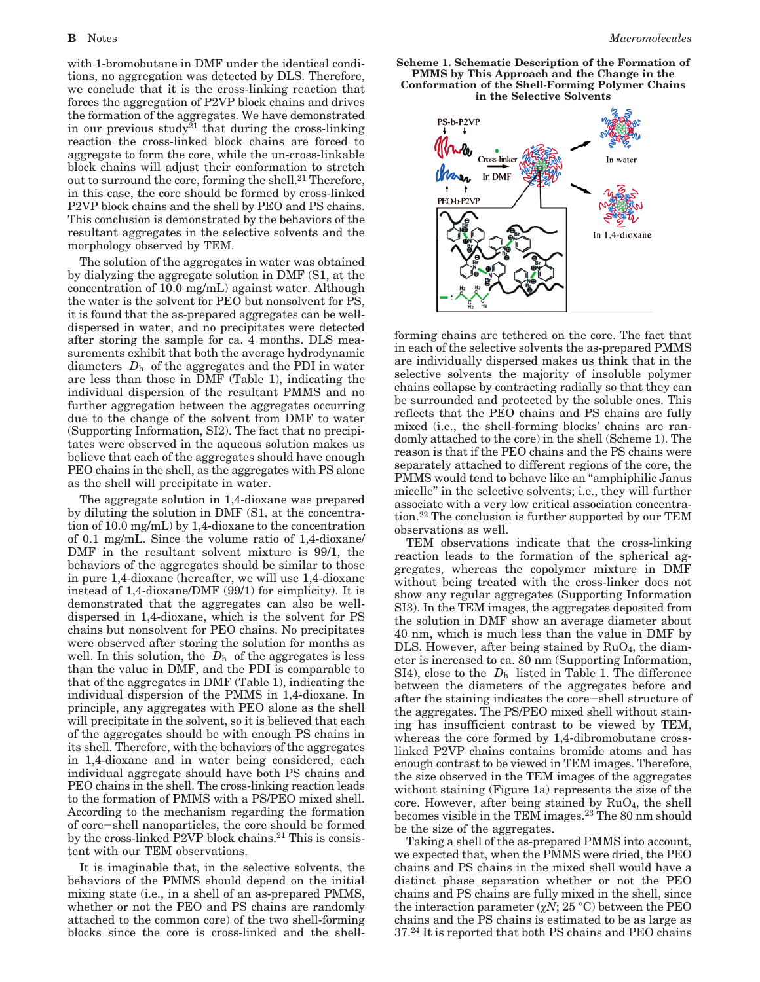with 1-bromobutane in DMF under the identical conditions, no aggregation was detected by DLS. Therefore, we conclude that it is the cross-linking reaction that forces the aggregation of P2VP block chains and drives the formation of the aggregates. We have demonstrated in our previous study<sup>21</sup> that during the cross-linking reaction the cross-linked block chains are forced to aggregate to form the core, while the un-cross-linkable block chains will adjust their conformation to stretch out to surround the core, forming the shell.<sup>21</sup> Therefore, in this case, the core should be formed by cross-linked P2VP block chains and the shell by PEO and PS chains. This conclusion is demonstrated by the behaviors of the resultant aggregates in the selective solvents and the morphology observed by TEM.

The solution of the aggregates in water was obtained by dialyzing the aggregate solution in DMF (S1, at the concentration of 10.0 mg/mL) against water. Although the water is the solvent for PEO but nonsolvent for PS, it is found that the as-prepared aggregates can be welldispersed in water, and no precipitates were detected after storing the sample for ca. 4 months. DLS measurements exhibit that both the average hydrodynamic diameters  $\langle D_{h} \rangle$  of the aggregates and the PDI in water are less than those in DMF (Table 1), indicating the individual dispersion of the resultant PMMS and no further aggregation between the aggregates occurring due to the change of the solvent from DMF to water (Supporting Information, SI2). The fact that no precipitates were observed in the aqueous solution makes us believe that each of the aggregates should have enough PEO chains in the shell, as the aggregates with PS alone as the shell will precipitate in water.

The aggregate solution in 1,4-dioxane was prepared by diluting the solution in DMF (S1, at the concentration of 10.0 mg/mL) by 1,4-dioxane to the concentration of 0.1 mg/mL. Since the volume ratio of 1,4-dioxane/ DMF in the resultant solvent mixture is 99/1, the behaviors of the aggregates should be similar to those in pure 1,4-dioxane (hereafter, we will use 1,4-dioxane instead of 1,4-dioxane/DMF (99/1) for simplicity). It is demonstrated that the aggregates can also be welldispersed in 1,4-dioxane, which is the solvent for PS chains but nonsolvent for PEO chains. No precipitates were observed after storing the solution for months as well. In this solution, the  $\langle D_{h} \rangle$  of the aggregates is less than the value in DMF, and the PDI is comparable to that of the aggregates in DMF (Table 1), indicating the individual dispersion of the PMMS in 1,4-dioxane. In principle, any aggregates with PEO alone as the shell will precipitate in the solvent, so it is believed that each of the aggregates should be with enough PS chains in its shell. Therefore, with the behaviors of the aggregates in 1,4-dioxane and in water being considered, each individual aggregate should have both PS chains and PEO chains in the shell. The cross-linking reaction leads to the formation of PMMS with a PS/PEO mixed shell. According to the mechanism regarding the formation of core-shell nanoparticles, the core should be formed by the cross-linked P2VP block chains.<sup>21</sup> This is consistent with our TEM observations.

It is imaginable that, in the selective solvents, the behaviors of the PMMS should depend on the initial mixing state (i.e., in a shell of an as-prepared PMMS, whether or not the PEO and PS chains are randomly attached to the common core) of the two shell-forming blocks since the core is cross-linked and the shell**Scheme 1. Schematic Description of the Formation of PMMS by This Approach and the Change in the Conformation of the Shell-Forming Polymer Chains in the Selective Solvents**



forming chains are tethered on the core. The fact that in each of the selective solvents the as-prepared PMMS are individually dispersed makes us think that in the selective solvents the majority of insoluble polymer chains collapse by contracting radially so that they can be surrounded and protected by the soluble ones. This reflects that the PEO chains and PS chains are fully mixed (i.e., the shell-forming blocks' chains are randomly attached to the core) in the shell (Scheme 1). The reason is that if the PEO chains and the PS chains were separately attached to different regions of the core, the PMMS would tend to behave like an "amphiphilic Janus micelle" in the selective solvents; i.e., they will further associate with a very low critical association concentration.22 The conclusion is further supported by our TEM observations as well.

TEM observations indicate that the cross-linking reaction leads to the formation of the spherical aggregates, whereas the copolymer mixture in DMF without being treated with the cross-linker does not show any regular aggregates (Supporting Information SI3). In the TEM images, the aggregates deposited from the solution in DMF show an average diameter about 40 nm, which is much less than the value in DMF by DLS. However, after being stained by  $RuO<sub>4</sub>$ , the diameter is increased to ca. 80 nm (Supporting Information, SI4), close to the  $\langle D_{h} \rangle$  listed in Table 1. The difference between the diameters of the aggregates before and after the staining indicates the core-shell structure of the aggregates. The PS/PEO mixed shell without staining has insufficient contrast to be viewed by TEM, whereas the core formed by 1,4-dibromobutane crosslinked P2VP chains contains bromide atoms and has enough contrast to be viewed in TEM images. Therefore, the size observed in the TEM images of the aggregates without staining (Figure 1a) represents the size of the core. However, after being stained by  $RuO<sub>4</sub>$ , the shell becomes visible in the TEM images.23 The 80 nm should be the size of the aggregates.

Taking a shell of the as-prepared PMMS into account, we expected that, when the PMMS were dried, the PEO chains and PS chains in the mixed shell would have a distinct phase separation whether or not the PEO chains and PS chains are fully mixed in the shell, since the interaction parameter  $(\chi N; 25 \text{ °C})$  between the PEO chains and the PS chains is estimated to be as large as 37.24 It is reported that both PS chains and PEO chains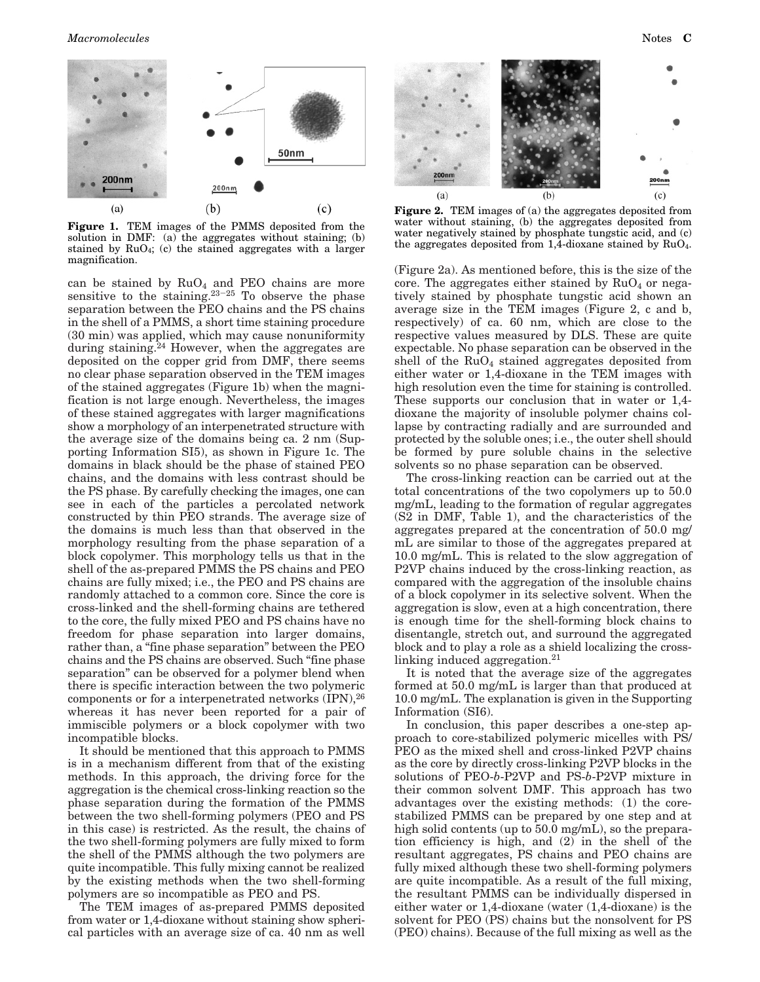

**Figure 1.** TEM images of the PMMS deposited from the solution in DMF: (a) the aggregates without staining; (b) stained by  $RuO<sub>4</sub>$ ; (c) the stained aggregates with a larger magnification.

can be stained by  $RuO<sub>4</sub>$  and PEO chains are more sensitive to the staining. $23-25$  To observe the phase separation between the PEO chains and the PS chains in the shell of a PMMS, a short time staining procedure (30 min) was applied, which may cause nonuniformity during staining. $24$  However, when the aggregates are deposited on the copper grid from DMF, there seems no clear phase separation observed in the TEM images of the stained aggregates (Figure 1b) when the magnification is not large enough. Nevertheless, the images of these stained aggregates with larger magnifications show a morphology of an interpenetrated structure with the average size of the domains being ca. 2 nm (Supporting Information SI5), as shown in Figure 1c. The domains in black should be the phase of stained PEO chains, and the domains with less contrast should be the PS phase. By carefully checking the images, one can see in each of the particles a percolated network constructed by thin PEO strands. The average size of the domains is much less than that observed in the morphology resulting from the phase separation of a block copolymer. This morphology tells us that in the shell of the as-prepared PMMS the PS chains and PEO chains are fully mixed; i.e., the PEO and PS chains are randomly attached to a common core. Since the core is cross-linked and the shell-forming chains are tethered to the core, the fully mixed PEO and PS chains have no freedom for phase separation into larger domains, rather than, a "fine phase separation" between the PEO chains and the PS chains are observed. Such "fine phase separation" can be observed for a polymer blend when there is specific interaction between the two polymeric components or for a interpenetrated networks (IPN), 26 whereas it has never been reported for a pair of immiscible polymers or a block copolymer with two incompatible blocks.

It should be mentioned that this approach to PMMS is in a mechanism different from that of the existing methods. In this approach, the driving force for the aggregation is the chemical cross-linking reaction so the phase separation during the formation of the PMMS between the two shell-forming polymers (PEO and PS in this case) is restricted. As the result, the chains of the two shell-forming polymers are fully mixed to form the shell of the PMMS although the two polymers are quite incompatible. This fully mixing cannot be realized by the existing methods when the two shell-forming polymers are so incompatible as PEO and PS.

The TEM images of as-prepared PMMS deposited from water or 1,4-dioxane without staining show spherical particles with an average size of ca. 40 nm as well



**Figure 2.** TEM images of (a) the aggregates deposited from water without staining, (b) the aggregates deposited from water negatively stained by phosphate tungstic acid, and (c) the aggregates deposited from 1,4-dioxane stained by RuO4.

(Figure 2a). As mentioned before, this is the size of the core. The aggregates either stained by  $RuO<sub>4</sub>$  or negatively stained by phosphate tungstic acid shown an average size in the TEM images (Figure 2, c and b, respectively) of ca. 60 nm, which are close to the respective values measured by DLS. These are quite expectable. No phase separation can be observed in the shell of the  $RuO<sub>4</sub>$  stained aggregates deposited from either water or 1,4-dioxane in the TEM images with high resolution even the time for staining is controlled. These supports our conclusion that in water or 1,4 dioxane the majority of insoluble polymer chains collapse by contracting radially and are surrounded and protected by the soluble ones; i.e., the outer shell should be formed by pure soluble chains in the selective solvents so no phase separation can be observed.

The cross-linking reaction can be carried out at the total concentrations of the two copolymers up to 50.0 mg/mL, leading to the formation of regular aggregates (S2 in DMF, Table 1), and the characteristics of the aggregates prepared at the concentration of 50.0 mg/ mL are similar to those of the aggregates prepared at 10.0 mg/mL. This is related to the slow aggregation of P2VP chains induced by the cross-linking reaction, as compared with the aggregation of the insoluble chains of a block copolymer in its selective solvent. When the aggregation is slow, even at a high concentration, there is enough time for the shell-forming block chains to disentangle, stretch out, and surround the aggregated block and to play a role as a shield localizing the crosslinking induced aggregation.21

It is noted that the average size of the aggregates formed at 50.0 mg/mL is larger than that produced at 10.0 mg/mL. The explanation is given in the Supporting Information (SI6).

In conclusion, this paper describes a one-step approach to core-stabilized polymeric micelles with PS/ PEO as the mixed shell and cross-linked P2VP chains as the core by directly cross-linking P2VP blocks in the solutions of PEO-*b*-P2VP and PS-*b*-P2VP mixture in their common solvent DMF. This approach has two advantages over the existing methods: (1) the corestabilized PMMS can be prepared by one step and at high solid contents (up to 50.0 mg/mL), so the preparation efficiency is high, and (2) in the shell of the resultant aggregates, PS chains and PEO chains are fully mixed although these two shell-forming polymers are quite incompatible. As a result of the full mixing, the resultant PMMS can be individually dispersed in either water or 1,4-dioxane (water (1,4-dioxane) is the solvent for PEO (PS) chains but the nonsolvent for PS (PEO) chains). Because of the full mixing as well as the